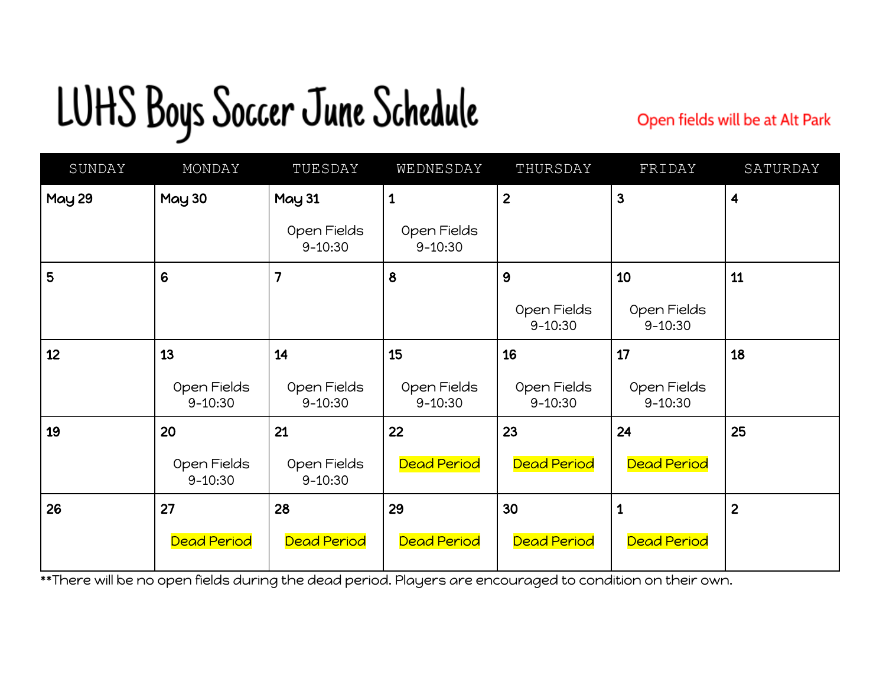## LUHS Boys Soccer June Schedule

Open fields will be at Alt Park

| SUNDAY | MONDAY                     | TUESDAY                    | WEDNESDAY                  | THURSDAY                   | FRIDAY                     | SATURDAY                |
|--------|----------------------------|----------------------------|----------------------------|----------------------------|----------------------------|-------------------------|
| May 29 | <b>May 30</b>              | <b>May 31</b>              | $\mathbf 1$                | $\overline{2}$             | 3                          | $\overline{\mathbf{4}}$ |
|        |                            | Open Fields<br>$9 - 10:30$ | Open Fields<br>$9 - 10:30$ |                            |                            |                         |
| 5      | $6\phantom{1}6$            | 7                          | 8                          | 9                          | 10                         | 11                      |
|        |                            |                            |                            | Open Fields<br>$9 - 10:30$ | Open Fields<br>$9 - 10:30$ |                         |
| 12     | 13                         | 14                         | 15                         | 16                         | 17                         | 18                      |
|        | Open Fields<br>$9 - 10:30$ | Open Fields<br>$9 - 10:30$ | Open Fields<br>$9 - 10:30$ | Open Fields<br>$9 - 10:30$ | Open Fields<br>$9 - 10:30$ |                         |
| 19     | 20                         | 21                         | 22                         | 23                         | 24                         | 25                      |
|        | Open Fields<br>$9 - 10:30$ | Open Fields<br>$9 - 10:30$ | <b>Dead Period</b>         | Dead Period                | <b>Dead Period</b>         |                         |
| 26     | 27                         | 28                         | 29                         | 30                         | $\mathbf{1}$               | $\overline{2}$          |
|        | <b>Dead Period</b>         | <b>Dead Period</b>         | <b>Dead Period</b>         | <b>Dead Period</b>         | <b>Dead Period</b>         |                         |

\*\*There will be no open fields during the dead period. Players are encouraged to condition on their own.